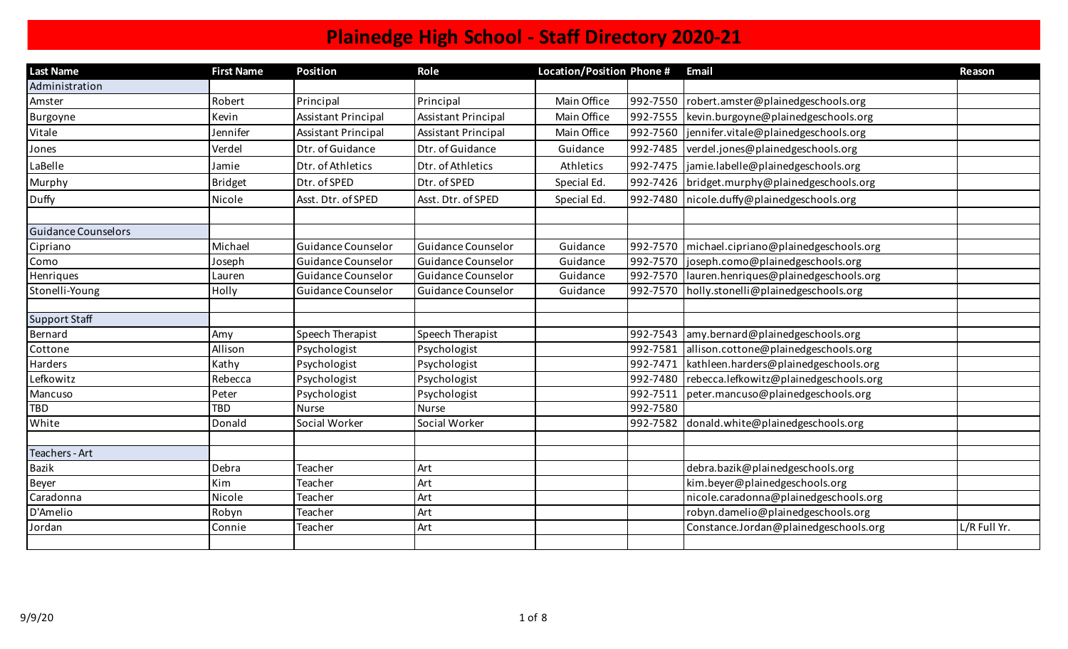| <b>Last Name</b>           | <b>First Name</b> | <b>Position</b>            | Role                       | Location/Position Phone # |          | <b>Email</b>                                     | Reason       |
|----------------------------|-------------------|----------------------------|----------------------------|---------------------------|----------|--------------------------------------------------|--------------|
| Administration             |                   |                            |                            |                           |          |                                                  |              |
| Amster                     | Robert            | Principal                  | Principal                  | Main Office               |          | 992-7550   robert.amster@plainedgeschools.org    |              |
| Burgoyne                   | Kevin             | <b>Assistant Principal</b> | <b>Assistant Principal</b> | Main Office               | 992-7555 | kevin.burgoyne@plainedgeschools.org              |              |
| Vitale                     | Jennifer          | <b>Assistant Principal</b> | <b>Assistant Principal</b> | Main Office               |          | 992-7560  jennifer.vitale@plainedgeschools.org   |              |
| Jones                      | Verdel            | Dtr. of Guidance           | Dtr. of Guidance           | Guidance                  |          | 992-7485 verdel.jones@plainedgeschools.org       |              |
| LaBelle                    | Jamie             | Dtr. of Athletics          | Dtr. of Athletics          | Athletics                 |          | 992-7475  jamie.labelle@plainedgeschools.org     |              |
| Murphy                     | Bridget           | Dtr. of SPED               | Dtr. of SPED               | Special Ed.               |          | 992-7426 bridget.murphy@plainedgeschools.org     |              |
| Duffy                      | Nicole            | Asst. Dtr. of SPED         | Asst. Dtr. of SPED         | Special Ed.               |          | 992-7480   nicole.duffy@plainedgeschools.org     |              |
|                            |                   |                            |                            |                           |          |                                                  |              |
| <b>Guidance Counselors</b> |                   |                            |                            |                           |          |                                                  |              |
| Cipriano                   | Michael           | Guidance Counselor         | Guidance Counselor         | Guidance                  |          | 992-7570   michael.cipriano@plainedgeschools.org |              |
| Como                       | Joseph            | Guidance Counselor         | Guidance Counselor         | Guidance                  |          | 992-7570 joseph.como@plainedgeschools.org        |              |
| Henriques                  | Lauren            | Guidance Counselor         | Guidance Counselor         | Guidance                  |          | 992-7570  lauren.henriques@plainedgeschools.org  |              |
| Stonelli-Young             | Holly             | Guidance Counselor         | Guidance Counselor         | Guidance                  |          | 992-7570 holly.stonelli@plainedgeschools.org     |              |
|                            |                   |                            |                            |                           |          |                                                  |              |
| Support Staff              |                   |                            |                            |                           |          |                                                  |              |
| Bernard                    | Amy               | Speech Therapist           | Speech Therapist           |                           |          | 992-7543 amy.bernard@plainedgeschools.org        |              |
| Cottone                    | Allison           | Psychologist               | Psychologist               |                           | 992-7581 | allison.cottone@plainedgeschools.org             |              |
| Harders                    | Kathy             | Psychologist               | Psychologist               |                           | 992-7471 | kathleen.harders@plainedgeschools.org            |              |
| Lefkowitz                  | Rebecca           | Psychologist               | Psychologist               |                           | 992-7480 | rebecca.lefkowitz@plainedgeschools.org           |              |
| Mancuso                    | Peter             | Psychologist               | Psychologist               |                           | 992-7511 | peter.mancuso@plainedgeschools.org               |              |
| TBD                        | <b>TBD</b>        | <b>Nurse</b>               | <b>Nurse</b>               |                           | 992-7580 |                                                  |              |
| White                      | Donald            | Social Worker              | Social Worker              |                           | 992-7582 | donald.white@plainedgeschools.org                |              |
|                            |                   |                            |                            |                           |          |                                                  |              |
| Teachers - Art             |                   |                            |                            |                           |          |                                                  |              |
| <b>Bazik</b>               | Debra             | Teacher                    | Art                        |                           |          | debra.bazik@plainedgeschools.org                 |              |
| <b>Beyer</b>               | Kim               | Teacher                    | Art                        |                           |          | kim.beyer@plainedgeschools.org                   |              |
| Caradonna                  | Nicole            | Teacher                    | Art                        |                           |          | nicole.caradonna@plainedgeschools.org            |              |
| D'Amelio                   | Robyn             | Teacher                    | Art                        |                           |          | robyn.damelio@plainedgeschools.org               |              |
| Jordan                     | Connie            | Teacher                    | Art                        |                           |          | Constance.Jordan@plainedgeschools.org            | L/R Full Yr. |
|                            |                   |                            |                            |                           |          |                                                  |              |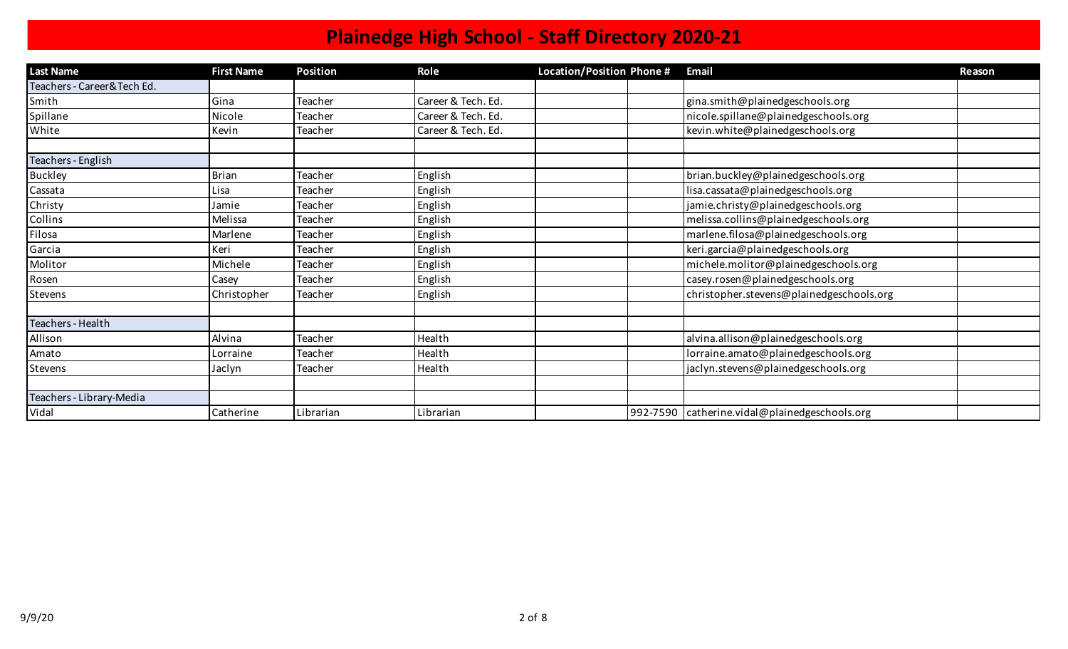| <b>Last Name</b>            | <b>First Name</b> | <b>Position</b> | Role               | Location/Position Phone # | <b>Email</b>                                    | Reason |
|-----------------------------|-------------------|-----------------|--------------------|---------------------------|-------------------------------------------------|--------|
| Teachers - Career& Tech Ed. |                   |                 |                    |                           |                                                 |        |
| Smith                       | Gina              | Teacher         | Career & Tech. Ed. |                           | gina.smith@plainedgeschools.org                 |        |
| Spillane                    | Nicole            | <b>Teacher</b>  | Career & Tech. Ed. |                           | nicole.spillane@plainedgeschools.org            |        |
| White                       | Kevin             | Teacher         | Career & Tech. Ed. |                           | kevin.white@plainedgeschools.org                |        |
|                             |                   |                 |                    |                           |                                                 |        |
| Teachers - English          |                   |                 |                    |                           |                                                 |        |
| <b>Buckley</b>              | <b>Brian</b>      | Teacher         | English            |                           | brian.buckley@plainedgeschools.org              |        |
| Cassata                     | Lisa              | Teacher         | English            |                           | lisa.cassata@plainedgeschools.org               |        |
| Christy                     | Jamie             | <b>Teacher</b>  | English            |                           | jamie.christy@plainedgeschools.org              |        |
| Collins                     | Melissa           | Teacher         | English            |                           | melissa.collins@plainedgeschools.org            |        |
| Filosa                      | Marlene           | Teacher         | English            |                           | marlene.filosa@plainedgeschools.org             |        |
| Garcia                      | Keri              | Teacher         | English            |                           | keri.garcia@plainedgeschools.org                |        |
| Molitor                     | Michele           | Teacher         | English            |                           | michele.molitor@plainedgeschools.org            |        |
| Rosen                       | Casey             | <b>Teacher</b>  | English            |                           | casey.rosen@plainedgeschools.org                |        |
| Stevens                     | Christopher       | Teacher         | English            |                           | christopher.stevens@plainedgeschools.org        |        |
|                             |                   |                 |                    |                           |                                                 |        |
| Teachers - Health           |                   |                 |                    |                           |                                                 |        |
| Allison                     | Alvina            | Teacher         | Health             |                           | alvina.allison@plainedgeschools.org             |        |
| Amato                       | Lorraine          | Teacher         | Health             |                           | lorraine.amato@plainedgeschools.org             |        |
| Stevens                     | Jaclyn            | <b>Teacher</b>  | Health             |                           | jaclyn.stevens@plainedgeschools.org             |        |
|                             |                   |                 |                    |                           |                                                 |        |
| Teachers - Library-Media    |                   |                 |                    |                           |                                                 |        |
| Vidal                       | Catherine         | Librarian       | Librarian          |                           | 992-7590   catherine.vidal@plainedgeschools.org |        |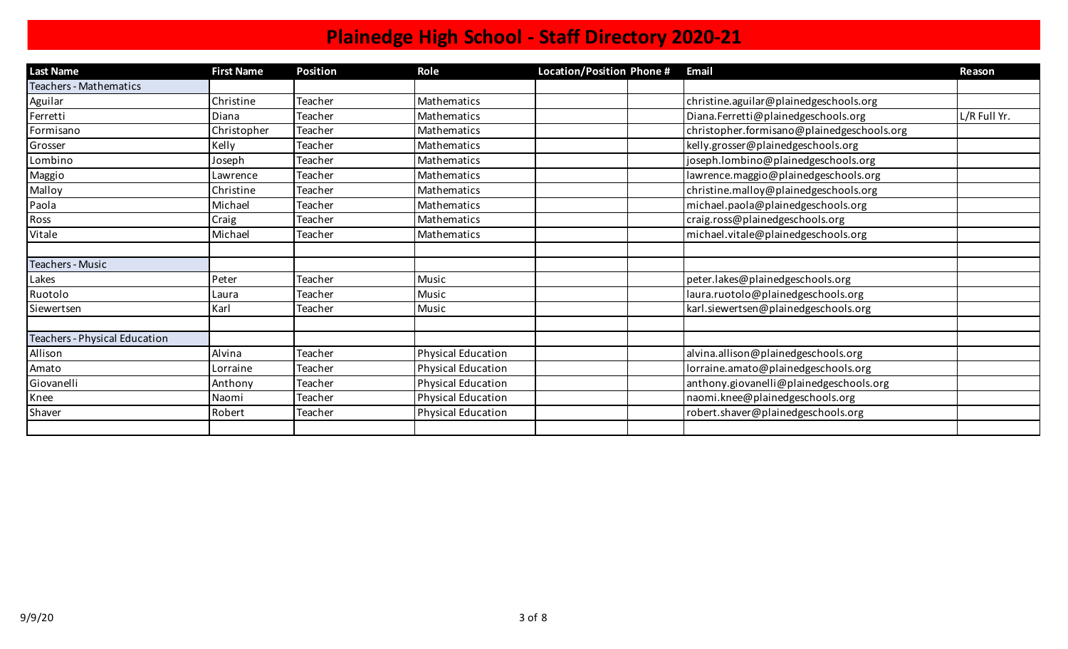| <b>Last Name</b>              | <b>First Name</b> | <b>Position</b> | Role                      | Location/Position Phone # | <b>Email</b>                               | Reason       |
|-------------------------------|-------------------|-----------------|---------------------------|---------------------------|--------------------------------------------|--------------|
| <b>Teachers - Mathematics</b> |                   |                 |                           |                           |                                            |              |
| Aguilar                       | Christine         | Teacher         | Mathematics               |                           | christine.aguilar@plainedgeschools.org     |              |
| Ferretti                      | Diana             | Teacher         | Mathematics               |                           | Diana.Ferretti@plainedgeschools.org        | L/R Full Yr. |
| Formisano                     | Christopher       | Teacher         | Mathematics               |                           | christopher.formisano@plainedgeschools.org |              |
| Grosser                       | Kelly             | Teacher         | <b>Mathematics</b>        |                           | kelly.grosser@plainedgeschools.org         |              |
| Lombino                       | Joseph            | Teacher         | Mathematics               |                           | joseph.lombino@plainedgeschools.org        |              |
| Maggio                        | Lawrence          | Teacher         | Mathematics               |                           | lawrence.maggio@plainedgeschools.org       |              |
| Malloy                        | Christine         | Teacher         | Mathematics               |                           | christine.malloy@plainedgeschools.org      |              |
| Paola                         | Michael           | Teacher         | <b>Mathematics</b>        |                           | michael.paola@plainedgeschools.org         |              |
| Ross                          | Craig             | Teacher         | Mathematics               |                           | craig.ross@plainedgeschools.org            |              |
| Vitale                        | Michael           | Teacher         | Mathematics               |                           | michael.vitale@plainedgeschools.org        |              |
|                               |                   |                 |                           |                           |                                            |              |
| <b>Teachers - Music</b>       |                   |                 |                           |                           |                                            |              |
| Lakes                         | Peter             | Teacher         | Music                     |                           | peter.lakes@plainedgeschools.org           |              |
| Ruotolo                       | Laura             | Teacher         | Music                     |                           | laura.ruotolo@plainedgeschools.org         |              |
| Siewertsen                    | Karl              | Teacher         | Music                     |                           | karl.siewertsen@plainedgeschools.org       |              |
|                               |                   |                 |                           |                           |                                            |              |
| Teachers - Physical Education |                   |                 |                           |                           |                                            |              |
| Allison                       | Alvina            | Teacher         | <b>Physical Education</b> |                           | alvina.allison@plainedgeschools.org        |              |
| Amato                         | Lorraine          | Teacher         | <b>Physical Education</b> |                           | lorraine.amato@plainedgeschools.org        |              |
| Giovanelli                    | Anthony           | <b>Teacher</b>  | Physical Education        |                           | anthony.giovanelli@plainedgeschools.org    |              |
| Knee                          | Naomi             | Teacher         | <b>Physical Education</b> |                           | naomi.knee@plainedgeschools.org            |              |
| Shaver                        | Robert            | Teacher         | <b>Physical Education</b> |                           | robert.shaver@plainedgeschools.org         |              |
|                               |                   |                 |                           |                           |                                            |              |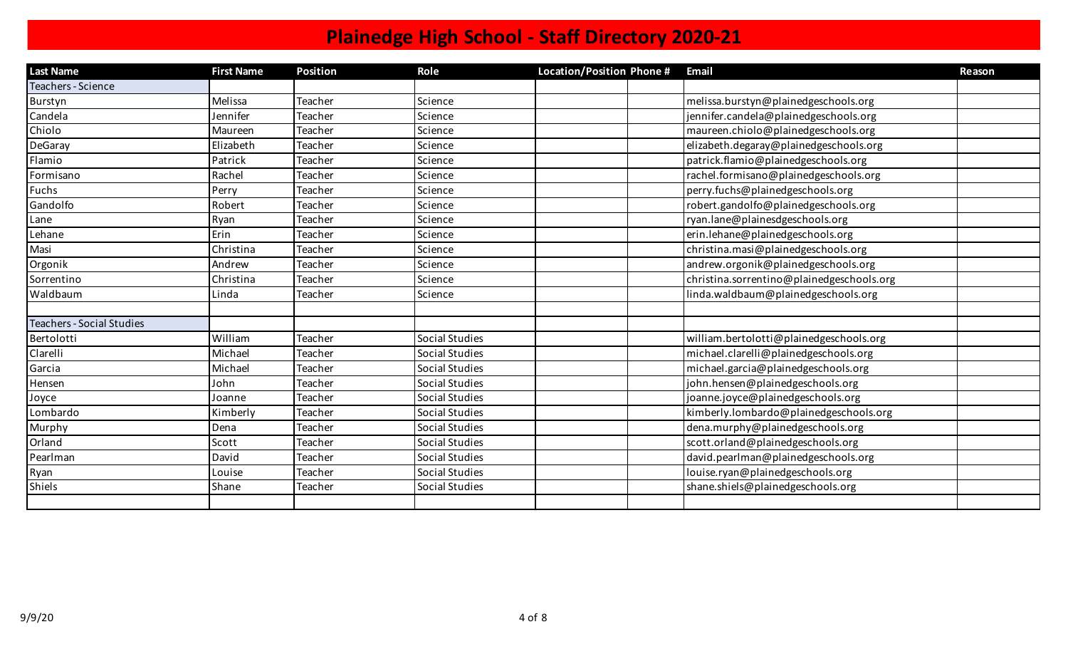| <b>Last Name</b>                 | <b>First Name</b> | <b>Position</b> | Role           | Location/Position Phone # | Email                                     | Reason |
|----------------------------------|-------------------|-----------------|----------------|---------------------------|-------------------------------------------|--------|
| Teachers - Science               |                   |                 |                |                           |                                           |        |
| Burstyn                          | Melissa           | Teacher         | Science        |                           | melissa.burstyn@plainedgeschools.org      |        |
| Candela                          | Jennifer          | Teacher         | Science        |                           | jennifer.candela@plainedgeschools.org     |        |
| Chiolo                           | Maureen           | Teacher         | Science        |                           | maureen.chiolo@plainedgeschools.org       |        |
| DeGaray                          | Elizabeth         | <b>Teacher</b>  | Science        |                           | elizabeth.degaray@plainedgeschools.org    |        |
| Flamio                           | Patrick           | Teacher         | Science        |                           | patrick.flamio@plainedgeschools.org       |        |
| Formisano                        | Rachel            | Teacher         | Science        |                           | rachel.formisano@plainedgeschools.org     |        |
| Fuchs                            | Perry             | Teacher         | Science        |                           | perry.fuchs@plainedgeschools.org          |        |
| Gandolfo                         | Robert            | Teacher         | Science        |                           | robert.gandolfo@plainedgeschools.org      |        |
| Lane                             | Ryan              | Teacher         | Science        |                           | ryan.lane@plainesdgeschools.org           |        |
| Lehane                           | Erin              | Teacher         | Science        |                           | erin.lehane@plainedgeschools.org          |        |
| Masi                             | Christina         | Teacher         | Science        |                           | christina.masi@plainedgeschools.org       |        |
| Orgonik                          | Andrew            | Teacher         | Science        |                           | andrew.orgonik@plainedgeschools.org       |        |
| Sorrentino                       | Christina         | Teacher         | Science        |                           | christina.sorrentino@plainedgeschools.org |        |
| Waldbaum                         | Linda             | Teacher         | Science        |                           | linda.waldbaum@plainedgeschools.org       |        |
|                                  |                   |                 |                |                           |                                           |        |
| <b>Teachers - Social Studies</b> |                   |                 |                |                           |                                           |        |
| Bertolotti                       | William           | <b>Teacher</b>  | Social Studies |                           | william.bertolotti@plainedgeschools.org   |        |
| Clarelli                         | Michael           | Teacher         | Social Studies |                           | michael.clarelli@plainedgeschools.org     |        |
| Garcia                           | Michael           | Teacher         | Social Studies |                           | michael.garcia@plainedgeschools.org       |        |
| Hensen                           | John              | Teacher         | Social Studies |                           | john.hensen@plainedgeschools.org          |        |
| Joyce                            | Joanne            | Teacher         | Social Studies |                           | joanne.joyce@plainedgeschools.org         |        |
| Lombardo                         | Kimberly          | Teacher         | Social Studies |                           | kimberly.lombardo@plainedgeschools.org    |        |
| Murphy                           | Dena              | Teacher         | Social Studies |                           | dena.murphy@plainedgeschools.org          |        |
| Orland                           | Scott             | Teacher         | Social Studies |                           | scott.orland@plainedgeschools.org         |        |
| Pearlman                         | David             | Teacher         | Social Studies |                           | david.pearlman@plainedgeschools.org       |        |
| Ryan                             | Louise            | Teacher         | Social Studies |                           | louise.ryan@plainedgeschools.org          |        |
| <b>Shiels</b>                    | Shane             | Teacher         | Social Studies |                           | shane.shiels@plainedgeschools.org         |        |
|                                  |                   |                 |                |                           |                                           |        |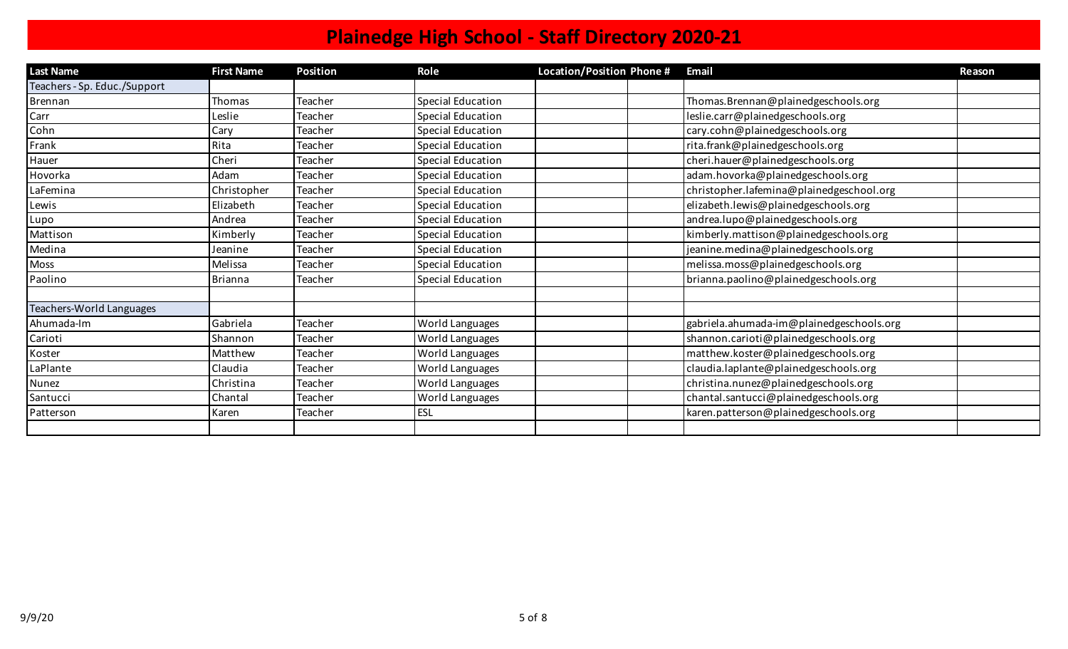| <b>Last Name</b>             | <b>First Name</b> | <b>Position</b> | Role              | Location/Position Phone # | <b>Email</b>                             | Reason |
|------------------------------|-------------------|-----------------|-------------------|---------------------------|------------------------------------------|--------|
| Teachers - Sp. Educ./Support |                   |                 |                   |                           |                                          |        |
| Brennan                      | Thomas            | Teacher         | Special Education |                           | Thomas.Brennan@plainedgeschools.org      |        |
| Carr                         | Leslie            | Teacher         | Special Education |                           | leslie.carr@plainedgeschools.org         |        |
| Cohn                         | Cary              | Teacher         | Special Education |                           | cary.cohn@plainedgeschools.org           |        |
| Frank                        | Rita              | Teacher         | Special Education |                           | rita.frank@plainedgeschools.org          |        |
| Hauer                        | Cheri             | Teacher         | Special Education |                           | cheri.hauer@plainedgeschools.org         |        |
| Hovorka                      | Adam              | Teacher         | Special Education |                           | adam.hovorka@plainedgeschools.org        |        |
| LaFemina                     | Christopher       | Teacher         | Special Education |                           | christopher.lafemina@plainedgeschool.org |        |
| Lewis                        | Elizabeth         | Teacher         | Special Education |                           | elizabeth.lewis@plainedgeschools.org     |        |
| Lupo                         | Andrea            | Teacher         | Special Education |                           | andrea.lupo@plainedgeschools.org         |        |
| Mattison                     | Kimberly          | Teacher         | Special Education |                           | kimberly.mattison@plainedgeschools.org   |        |
| Medina                       | Jeanine           | Teacher         | Special Education |                           | jeanine.medina@plainedgeschools.org      |        |
| Moss                         | Melissa           | Teacher         | Special Education |                           | melissa.moss@plainedgeschools.org        |        |
| Paolino                      | <b>Brianna</b>    | Teacher         | Special Education |                           | brianna.paolino@plainedgeschools.org     |        |
|                              |                   |                 |                   |                           |                                          |        |
| Teachers-World Languages     |                   |                 |                   |                           |                                          |        |
| Ahumada-Im                   | Gabriela          | Teacher         | World Languages   |                           | gabriela.ahumada-im@plainedgeschools.org |        |
| Carioti                      | Shannon           | Teacher         | World Languages   |                           | shannon.carioti@plainedgeschools.org     |        |
| Koster                       | Matthew           | Teacher         | World Languages   |                           | matthew.koster@plainedgeschools.org      |        |
| LaPlante                     | Claudia           | Teacher         | World Languages   |                           | claudia.laplante@plainedgeschools.org    |        |
| Nunez                        | Christina         | Teacher         | World Languages   |                           | christina.nunez@plainedgeschools.org     |        |
| Santucci                     | Chantal           | Teacher         | World Languages   |                           | chantal.santucci@plainedgeschools.org    |        |
| Patterson                    | Karen             | Teacher         | <b>ESL</b>        |                           | karen.patterson@plainedgeschools.org     |        |
|                              |                   |                 |                   |                           |                                          |        |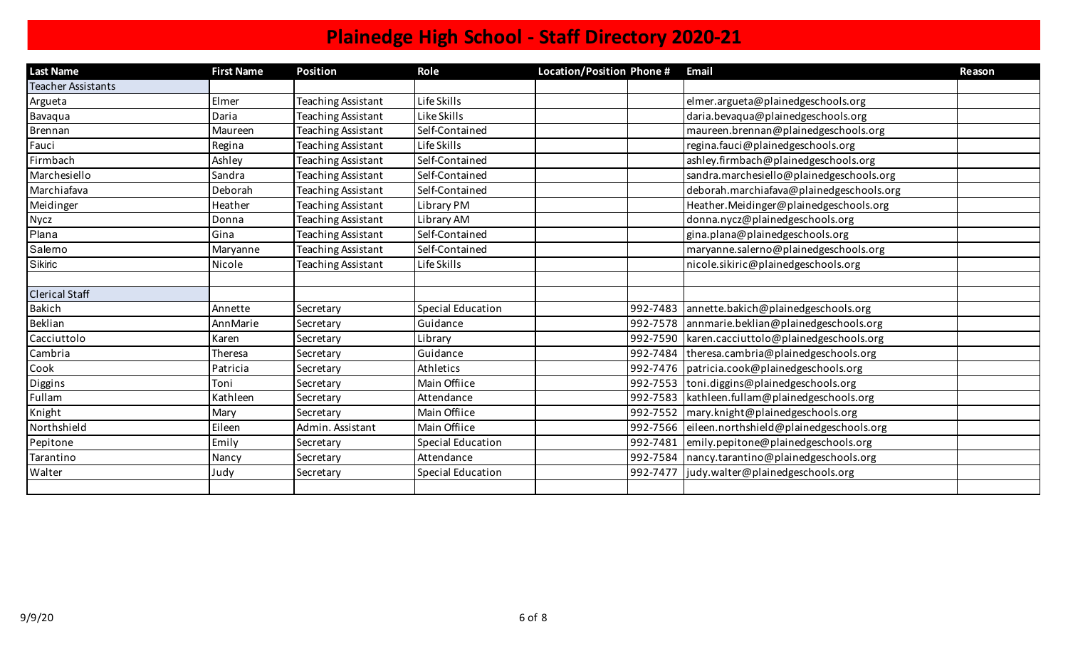| <b>Last Name</b>          | <b>First Name</b> | <b>Position</b>           | Role              | Location/Position Phone # |          | <b>Email</b>                                    | Reason |
|---------------------------|-------------------|---------------------------|-------------------|---------------------------|----------|-------------------------------------------------|--------|
| <b>Teacher Assistants</b> |                   |                           |                   |                           |          |                                                 |        |
| Argueta                   | Elmer             | <b>Teaching Assistant</b> | Life Skills       |                           |          | elmer.argueta@plainedgeschools.org              |        |
| Bavaqua                   | Daria             | Teaching Assistant        | Like Skills       |                           |          | daria.bevaqua@plainedgeschools.org              |        |
| <b>Brennan</b>            | Maureen           | <b>Teaching Assistant</b> | Self-Contained    |                           |          | maureen.brennan@plainedgeschools.org            |        |
| Fauci                     | Regina            | <b>Teaching Assistant</b> | Life Skills       |                           |          | regina.fauci@plainedgeschools.org               |        |
| Firmbach                  | Ashley            | <b>Teaching Assistant</b> | Self-Contained    |                           |          | ashley.firmbach@plainedgeschools.org            |        |
| Marchesiello              | Sandra            | <b>Teaching Assistant</b> | Self-Contained    |                           |          | sandra.marchesiello@plainedgeschools.org        |        |
| Marchiafava               | Deborah           | <b>Teaching Assistant</b> | Self-Contained    |                           |          | deborah.marchiafava@plainedgeschools.org        |        |
| Meidinger                 | Heather           | Teaching Assistant        | Library PM        |                           |          | Heather.Meidinger@plainedgeschools.org          |        |
| Nycz                      | Donna             | <b>Teaching Assistant</b> | Library AM        |                           |          | donna.nycz@plainedgeschools.org                 |        |
| Plana                     | Gina              | Teaching Assistant        | Self-Contained    |                           |          | gina.plana@plainedgeschools.org                 |        |
| Salerno                   | Maryanne          | <b>Teaching Assistant</b> | Self-Contained    |                           |          | maryanne.salerno@plainedgeschools.org           |        |
| Sikiric                   | Nicole            | <b>Teaching Assistant</b> | Life Skills       |                           |          | nicole.sikiric@plainedgeschools.org             |        |
|                           |                   |                           |                   |                           |          |                                                 |        |
| <b>Clerical Staff</b>     |                   |                           |                   |                           |          |                                                 |        |
| <b>Bakich</b>             | Annette           | Secretary                 | Special Education |                           |          | 992-7483 annette.bakich@plainedgeschools.org    |        |
| <b>Beklian</b>            | AnnMarie          | Secretary                 | Guidance          |                           |          | 992-7578 annmarie.beklian@plainedgeschools.org  |        |
| Cacciuttolo               | Karen             | Secretary                 | Library           |                           |          | 992-7590 karen.cacciuttolo@plainedgeschools.org |        |
| Cambria                   | Theresa           | Secretary                 | Guidance          |                           |          | 992-7484   theresa.cambria@plainedgeschools.org |        |
| Cook                      | Patricia          | Secretary                 | Athletics         |                           |          | 992-7476   patricia.cook@plainedgeschools.org   |        |
| Diggins                   | Toni              | Secretary                 | Main Offiice      |                           |          | 992-7553 toni.diggins@plainedgeschools.org      |        |
| Fullam                    | Kathleen          | Secretary                 | Attendance        |                           |          | 992-7583   kathleen.fullam@plainedgeschools.org |        |
| Knight                    | Mary              | Secretary                 | Main Offiice      |                           |          | 992-7552   mary.knight@plainedgeschools.org     |        |
| Northshield               | Eileen            | Admin. Assistant          | Main Offiice      |                           | 992-7566 | eileen.northshield@plainedgeschools.org         |        |
| Pepitone                  | Emily             | Secretary                 | Special Education |                           |          | 992-7481 emily.pepitone@plainedgeschools.org    |        |
| Tarantino                 | Nancy             | Secretary                 | Attendance        |                           |          | 992-7584   nancy.tarantino@plainedgeschools.org |        |
| Walter                    | Judy              | Secretary                 | Special Education |                           |          | 992-7477   judy.walter@plainedgeschools.org     |        |
|                           |                   |                           |                   |                           |          |                                                 |        |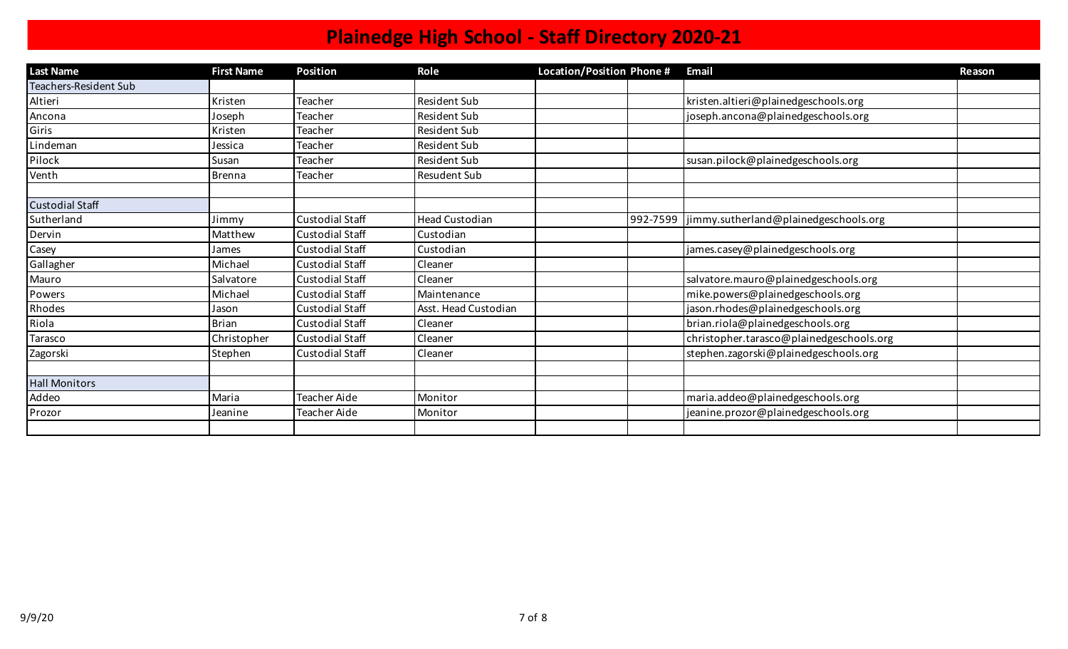| <b>Last Name</b>       | <b>First Name</b> | <b>Position</b>        | Role                  | Location/Position Phone # |          | <b>Email</b>                             | Reason |
|------------------------|-------------------|------------------------|-----------------------|---------------------------|----------|------------------------------------------|--------|
| Teachers-Resident Sub  |                   |                        |                       |                           |          |                                          |        |
| Altieri                | Kristen           | Teacher                | <b>Resident Sub</b>   |                           |          | kristen.altieri@plainedgeschools.org     |        |
| Ancona                 | Joseph            | Teacher                | <b>Resident Sub</b>   |                           |          | joseph.ancona@plainedgeschools.org       |        |
| Giris                  | Kristen           | Teacher                | <b>Resident Sub</b>   |                           |          |                                          |        |
| Lindeman               | Jessica           | Teacher                | <b>Resident Sub</b>   |                           |          |                                          |        |
| Pilock                 | Susan             | Teacher                | <b>Resident Sub</b>   |                           |          | susan.pilock@plainedgeschools.org        |        |
| Venth                  | <b>Brenna</b>     | Teacher                | Resudent Sub          |                           |          |                                          |        |
|                        |                   |                        |                       |                           |          |                                          |        |
| <b>Custodial Staff</b> |                   |                        |                       |                           |          |                                          |        |
| Sutherland             | Jimmy             | Custodial Staff        | <b>Head Custodian</b> |                           | 992-7599 | jimmy.sutherland@plainedgeschools.org    |        |
| Dervin                 | Matthew           | <b>Custodial Staff</b> | Custodian             |                           |          |                                          |        |
| Casey                  | James             | <b>Custodial Staff</b> | Custodian             |                           |          | james.casey@plainedgeschools.org         |        |
| Gallagher              | Michael           | <b>Custodial Staff</b> | Cleaner               |                           |          |                                          |        |
| Mauro                  | Salvatore         | <b>Custodial Staff</b> | Cleaner               |                           |          | salvatore.mauro@plainedgeschools.org     |        |
| Powers                 | Michael           | <b>Custodial Staff</b> | Maintenance           |                           |          | mike.powers@plainedgeschools.org         |        |
| Rhodes                 | Jason             | Custodial Staff        | Asst. Head Custodian  |                           |          | jason.rhodes@plainedgeschools.org        |        |
| Riola                  | <b>Brian</b>      | Custodial Staff        | Cleaner               |                           |          | brian.riola@plainedgeschools.org         |        |
| Tarasco                | Christopher       | <b>Custodial Staff</b> | Cleaner               |                           |          | christopher.tarasco@plainedgeschools.org |        |
| Zagorski               | Stephen           | Custodial Staff        | Cleaner               |                           |          | stephen.zagorski@plainedgeschools.org    |        |
|                        |                   |                        |                       |                           |          |                                          |        |
| <b>Hall Monitors</b>   |                   |                        |                       |                           |          |                                          |        |
| Addeo                  | Maria             | Teacher Aide           | Monitor               |                           |          | maria.addeo@plainedgeschools.org         |        |
| Prozor                 | Jeanine           | Teacher Aide           | Monitor               |                           |          | jeanine.prozor@plainedgeschools.org      |        |
|                        |                   |                        |                       |                           |          |                                          |        |